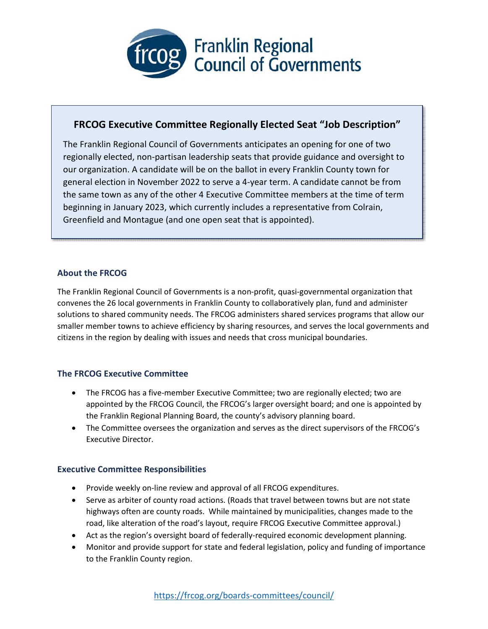

# **FRCOG Executive Committee Regionally Elected Seat "Job Description"**

The Franklin Regional Council of Governments anticipates an opening for one of two regionally elected, non-partisan leadership seats that provide guidance and oversight to our organization. A candidate will be on the ballot in every Franklin County town for general election in November 2022 to serve a 4-year term. A candidate cannot be from the same town as any of the other 4 Executive Committee members at the time of term beginning in January 2023, which currently includes a representative from Colrain, Greenfield and Montague (and one open seat that is appointed).

## **About the FRCOG**

The Franklin Regional Council of Governments is a non-profit, quasi-governmental organization that convenes the 26 local governments in Franklin County to collaboratively plan, fund and administer solutions to shared community needs. The FRCOG administers shared services programs that allow our smaller member towns to achieve efficiency by sharing resources, and serves the local governments and citizens in the region by dealing with issues and needs that cross municipal boundaries.

## **The FRCOG Executive Committee**

- The FRCOG has a five-member Executive Committee; two are regionally elected; two are appointed by the FRCOG Council, the FRCOG's larger oversight board; and one is appointed by the Franklin Regional Planning Board, the county's advisory planning board.
- The Committee oversees the organization and serves as the direct supervisors of the FRCOG's Executive Director.

### **Executive Committee Responsibilities**

- Provide weekly on-line review and approval of all FRCOG expenditures.
- Serve as arbiter of county road actions. (Roads that travel between towns but are not state highways often are county roads. While maintained by municipalities, changes made to the road, like alteration of the road's layout, require FRCOG Executive Committee approval.)
- Act as the region's oversight board of federally-required economic development planning.
- Monitor and provide support for state and federal legislation, policy and funding of importance to the Franklin County region.